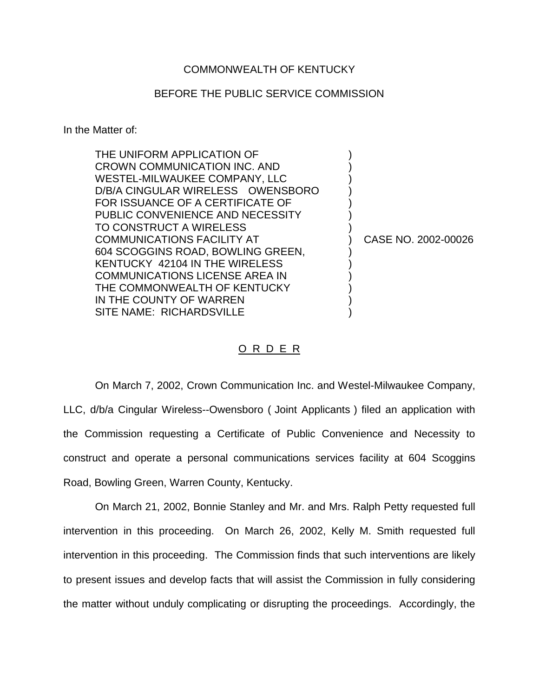## COMMONWEALTH OF KENTUCKY

## BEFORE THE PUBLIC SERVICE COMMISSION

In the Matter of:

| THE UNIFORM APPLICATION OF            |                     |
|---------------------------------------|---------------------|
| CROWN COMMUNICATION INC. AND          |                     |
| WESTEL-MILWAUKEE COMPANY, LLC         |                     |
| D/B/A CINGULAR WIRELESS OWENSBORO     |                     |
| FOR ISSUANCE OF A CERTIFICATE OF      |                     |
| PUBLIC CONVENIENCE AND NECESSITY      |                     |
| TO CONSTRUCT A WIRELESS               |                     |
| <b>COMMUNICATIONS FACILITY AT</b>     | CASE NO. 2002-00026 |
| 604 SCOGGINS ROAD, BOWLING GREEN,     |                     |
| KENTUCKY 42104 IN THE WIRELESS        |                     |
| <b>COMMUNICATIONS LICENSE AREA IN</b> |                     |
| THE COMMONWEALTH OF KENTUCKY          |                     |
| IN THE COUNTY OF WARREN               |                     |
| SITE NAME: RICHARDSVILLE              |                     |

## O R D E R

On March 7, 2002, Crown Communication Inc. and Westel-Milwaukee Company, LLC, d/b/a Cingular Wireless--Owensboro ( Joint Applicants ) filed an application with the Commission requesting a Certificate of Public Convenience and Necessity to construct and operate a personal communications services facility at 604 Scoggins Road, Bowling Green, Warren County, Kentucky.

On March 21, 2002, Bonnie Stanley and Mr. and Mrs. Ralph Petty requested full intervention in this proceeding. On March 26, 2002, Kelly M. Smith requested full intervention in this proceeding. The Commission finds that such interventions are likely to present issues and develop facts that will assist the Commission in fully considering the matter without unduly complicating or disrupting the proceedings. Accordingly, the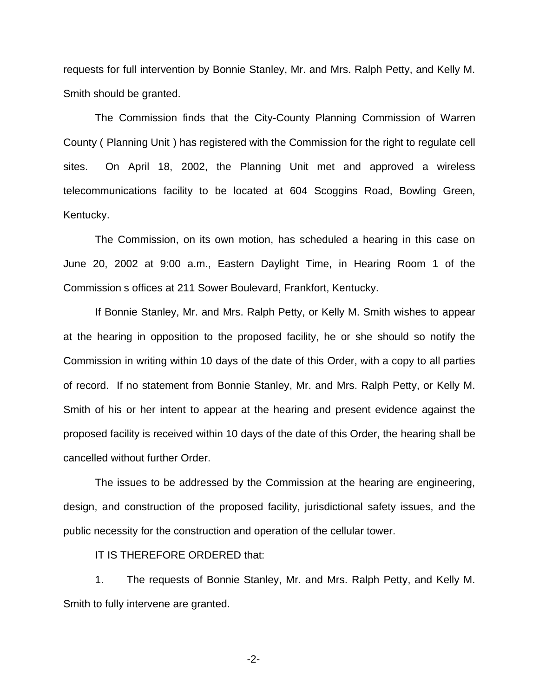requests for full intervention by Bonnie Stanley, Mr. and Mrs. Ralph Petty, and Kelly M. Smith should be granted.

The Commission finds that the City-County Planning Commission of Warren County ( Planning Unit ) has registered with the Commission for the right to regulate cell sites. On April 18, 2002, the Planning Unit met and approved a wireless telecommunications facility to be located at 604 Scoggins Road, Bowling Green, Kentucky.

The Commission, on its own motion, has scheduled a hearing in this case on June 20, 2002 at 9:00 a.m., Eastern Daylight Time, in Hearing Room 1 of the Commission s offices at 211 Sower Boulevard, Frankfort, Kentucky.

If Bonnie Stanley, Mr. and Mrs. Ralph Petty, or Kelly M. Smith wishes to appear at the hearing in opposition to the proposed facility, he or she should so notify the Commission in writing within 10 days of the date of this Order, with a copy to all parties of record. If no statement from Bonnie Stanley, Mr. and Mrs. Ralph Petty, or Kelly M. Smith of his or her intent to appear at the hearing and present evidence against the proposed facility is received within 10 days of the date of this Order, the hearing shall be cancelled without further Order.

The issues to be addressed by the Commission at the hearing are engineering, design, and construction of the proposed facility, jurisdictional safety issues, and the public necessity for the construction and operation of the cellular tower.

IT IS THEREFORE ORDERED that:

1. The requests of Bonnie Stanley, Mr. and Mrs. Ralph Petty, and Kelly M. Smith to fully intervene are granted.

-2-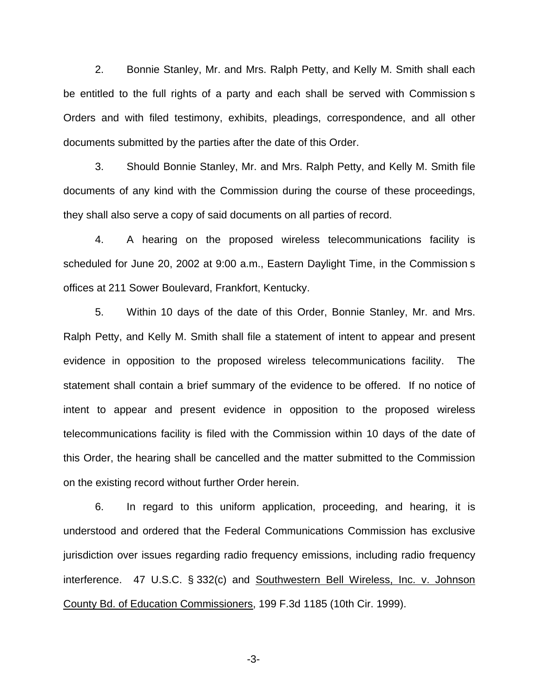2. Bonnie Stanley, Mr. and Mrs. Ralph Petty, and Kelly M. Smith shall each be entitled to the full rights of a party and each shall be served with Commission s Orders and with filed testimony, exhibits, pleadings, correspondence, and all other documents submitted by the parties after the date of this Order.

3. Should Bonnie Stanley, Mr. and Mrs. Ralph Petty, and Kelly M. Smith file documents of any kind with the Commission during the course of these proceedings, they shall also serve a copy of said documents on all parties of record.

4. A hearing on the proposed wireless telecommunications facility is scheduled for June 20, 2002 at 9:00 a.m., Eastern Daylight Time, in the Commission s offices at 211 Sower Boulevard, Frankfort, Kentucky.

5. Within 10 days of the date of this Order, Bonnie Stanley, Mr. and Mrs. Ralph Petty, and Kelly M. Smith shall file a statement of intent to appear and present evidence in opposition to the proposed wireless telecommunications facility. The statement shall contain a brief summary of the evidence to be offered. If no notice of intent to appear and present evidence in opposition to the proposed wireless telecommunications facility is filed with the Commission within 10 days of the date of this Order, the hearing shall be cancelled and the matter submitted to the Commission on the existing record without further Order herein.

6. In regard to this uniform application, proceeding, and hearing, it is understood and ordered that the Federal Communications Commission has exclusive jurisdiction over issues regarding radio frequency emissions, including radio frequency interference. 47 U.S.C. § 332(c) and Southwestern Bell Wireless, Inc. v. Johnson County Bd. of Education Commissioners, 199 F.3d 1185 (10th Cir. 1999).

-3-